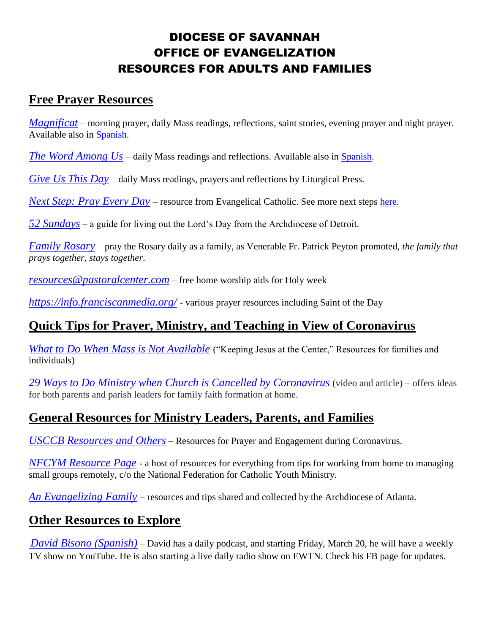# DIOCESE OF SAVANNAH OFFICE OF EVANGELIZATION RESOURCES FOR ADULTS AND FAMILIES

## **Free Prayer Resources**

*[Magnificat](https://us.magnificat.net/free)* – morning prayer, daily Mass readings, reflections, saint stories, evening prayer and night prayer. Available also in [Spanish.](https://latina.magnificat.net/gratis)

*[The Word Among Us](https://wau.org/meditations/)* – daily Mass readings and reflections. Available also in [Spanish.](https://la-palabra.com/meditations)

*[Give Us This Day](https://giveusthisday.org/Digital)* – daily Mass readings, prayers and reflections by Liturgical Press.

*[Next Step: Pray Every Day](https://www.ecnextstep.com/courses/prayeveryday)* – resource from Evangelical Catholic. See more next steps [here.](https://www.ecnextstep.com/collections)

*[52 Sundays](https://www.52sundays.com/)* – a guide for living out the Lord's Day from the Archdiocese of Detroit.

*[Family Rosary](https://www.familyrosary.org/) –* pray the Rosary daily as a family, as Venerable Fr. Patrick Peyton promoted, *the family that prays together, stays together*.

*[resources@pastoralcenter.com](mailto:resources@pastoralcenter.com)* – free home worship aids for Holy week

*<https://info.franciscanmedia.org/>* - various prayer resources including Saint of the Day

## **Quick Tips for Prayer, Ministry, and Teaching in View of Coronavirus**

*[What to Do When Mass is Not Available](https://archatl.com/covid-19/keeping-the-lord-jesus-at-the-center/)* ("Keeping Jesus at the Center," Resources for families and individuals)

*[29 Ways to Do Ministry when Church is Cancelled by Coronavirus](https://ministry-to-children.com/online-ministry-when-church-is-cancelled/)* (video and article) – offers ideas for both parents and parish leaders for family faith formation at home.

# **General Resources for Ministry Leaders, Parents, and Families**

*[USCCB Resources and Others](https://catholiccurrent.org/covid19/)* – Resources for Prayer and Engagement during Coronavirus.

*[NFCYM Resource Page](https://nfcym.org/covid19/)* - a host of resources for everything from tips for working from home to managing small groups remotely, c/o the National Federation for Catholic Youth Ministry.

*[An Evangelizing Family](https://www.evangelizationatl.com/evangelizing-family)* – resources and tips shared and collected by the Archdiocese of Atlanta.

## **Other Resources to Explore**

*[David Bisono \(Spanish\)](https://www.facebook.com/creerescrecer/)* – David has a daily podcast, and starting Friday, March 20, he will have a weekly TV show on YouTube. He is also starting a live daily radio show on EWTN. Check his FB page for updates.